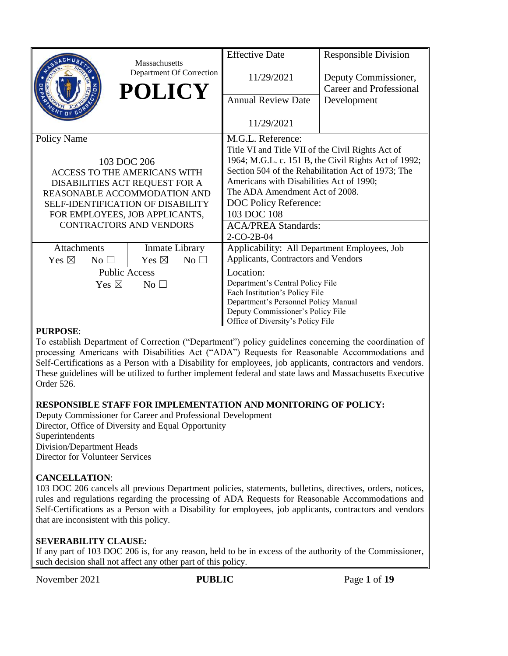| Department Of Correction<br><b>POLICY</b> | <b>Effective Date</b><br>11/29/2021<br><b>Annual Review Date</b><br>11/29/2021 | <b>Responsible Division</b><br>Deputy Commissioner,<br><b>Career and Professional</b><br>Development                        |  |  |
|-------------------------------------------|--------------------------------------------------------------------------------|-----------------------------------------------------------------------------------------------------------------------------|--|--|
| <b>Policy Name</b>                        |                                                                                | M.G.L. Reference:<br>Title VI and Title VII of the Civil Rights Act of                                                      |  |  |
| 103 DOC 206                               |                                                                                | 1964; M.G.L. c. 151 B, the Civil Rights Act of 1992;                                                                        |  |  |
| <b>ACCESS TO THE AMERICANS WITH</b>       |                                                                                | Section 504 of the Rehabilitation Act of 1973; The                                                                          |  |  |
| DISABILITIES ACT REQUEST FOR A            |                                                                                | Americans with Disabilities Act of 1990;                                                                                    |  |  |
| REASONABLE ACCOMMODATION AND              |                                                                                | The ADA Amendment Act of 2008.                                                                                              |  |  |
| <b>SELE-IDENTIFICATION OF DISABILITY</b>  |                                                                                |                                                                                                                             |  |  |
| FOR EMPLOYEES, JOB APPLICANTS,            |                                                                                |                                                                                                                             |  |  |
| <b>CONTRACTORS AND VENDORS</b>            | <b>ACA/PREA Standards:</b>                                                     |                                                                                                                             |  |  |
|                                           | $2-CO-2B-04$                                                                   |                                                                                                                             |  |  |
| Inmate Library                            | Applicability: All Department Employees, Job                                   |                                                                                                                             |  |  |
| No $\square$                              | Applicants, Contractors and Vendors                                            |                                                                                                                             |  |  |
| <b>Public Access</b>                      |                                                                                |                                                                                                                             |  |  |
| Yes $\boxtimes$<br>$No$ $\square$         |                                                                                | Department's Central Policy File                                                                                            |  |  |
|                                           |                                                                                | Each Institution's Policy File                                                                                              |  |  |
|                                           |                                                                                | Department's Personnel Policy Manual                                                                                        |  |  |
|                                           |                                                                                |                                                                                                                             |  |  |
|                                           |                                                                                | DOC Policy Reference:<br>103 DOC 108<br>Location:<br>Deputy Commissioner's Policy File<br>Office of Diversity's Policy File |  |  |

# **PURPOSE**:

To establish Department of Correction ("Department") policy guidelines concerning the coordination of processing Americans with Disabilities Act ("ADA") Requests for Reasonable Accommodations and Self-Certifications as a Person with a Disability for employees, job applicants, contractors and vendors. These guidelines will be utilized to further implement federal and state laws and Massachusetts Executive Order 526.

# **RESPONSIBLE STAFF FOR IMPLEMENTATION AND MONITORING OF POLICY:**

Deputy Commissioner for Career and Professional Development Director, Office of Diversity and Equal Opportunity Superintendents Division/Department Heads Director for Volunteer Services

# **CANCELLATION**:

103 DOC 206 cancels all previous Department policies, statements, bulletins, directives, orders, notices, rules and regulations regarding the processing of ADA Requests for Reasonable Accommodations and Self-Certifications as a Person with a Disability for employees, job applicants, contractors and vendors that are inconsistent with this policy.

# **SEVERABILITY CLAUSE:**

If any part of 103 DOC 206 is, for any reason, held to be in excess of the authority of the Commissioner, such decision shall not affect any other part of this policy.

November 2021 **PUBLIC** Page 1 of 19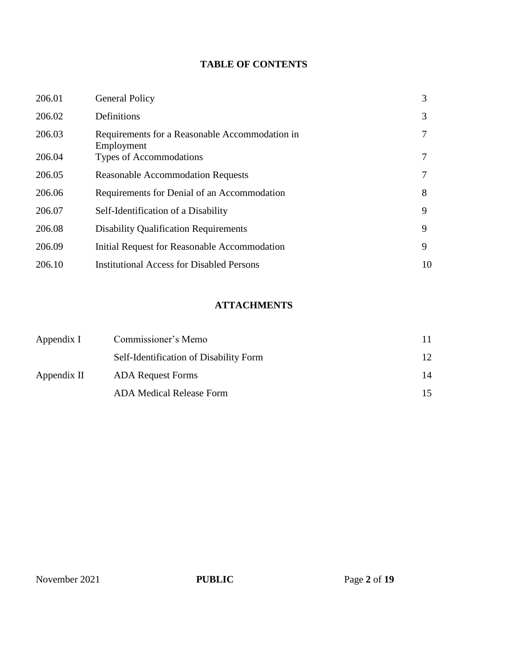# **TABLE OF CONTENTS**

| 206.01 | <b>General Policy</b>                                        | 3  |
|--------|--------------------------------------------------------------|----|
| 206.02 | Definitions                                                  | 3  |
| 206.03 | Requirements for a Reasonable Accommodation in<br>Employment | 7  |
| 206.04 | Types of Accommodations                                      |    |
| 206.05 | <b>Reasonable Accommodation Requests</b>                     |    |
| 206.06 | Requirements for Denial of an Accommodation                  | 8  |
| 206.07 | Self-Identification of a Disability                          | 9  |
| 206.08 | <b>Disability Qualification Requirements</b>                 | 9  |
| 206.09 | Initial Request for Reasonable Accommodation                 | 9  |
| 206.10 | <b>Institutional Access for Disabled Persons</b>             | 10 |

# **ATTACHMENTS**

| Appendix I  | Commissioner's Memo                    |     |
|-------------|----------------------------------------|-----|
|             | Self-Identification of Disability Form | 12. |
| Appendix II | <b>ADA</b> Request Forms               | 14  |
|             | ADA Medical Release Form               | 15  |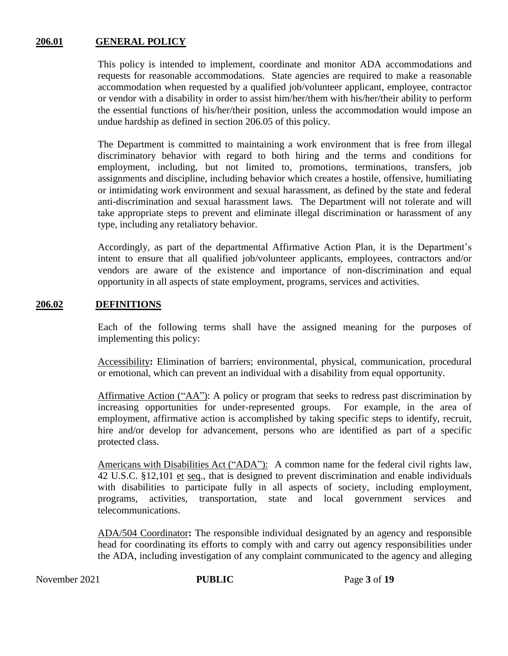# **206.01 GENERAL POLICY**

This policy is intended to implement, coordinate and monitor ADA accommodations and requests for reasonable accommodations. State agencies are required to make a reasonable accommodation when requested by a qualified job/volunteer applicant, employee, contractor or vendor with a disability in order to assist him/her/them with his/her/their ability to perform the essential functions of his/her/their position, unless the accommodation would impose an undue hardship as defined in section 206.05 of this policy.

The Department is committed to maintaining a work environment that is free from illegal discriminatory behavior with regard to both hiring and the terms and conditions for employment, including, but not limited to, promotions, terminations, transfers, job assignments and discipline, including behavior which creates a hostile, offensive, humiliating or intimidating work environment and sexual harassment, as defined by the state and federal anti-discrimination and sexual harassment laws. The Department will not tolerate and will take appropriate steps to prevent and eliminate illegal discrimination or harassment of any type, including any retaliatory behavior.

Accordingly, as part of the departmental Affirmative Action Plan, it is the Department's intent to ensure that all qualified job/volunteer applicants, employees, contractors and/or vendors are aware of the existence and importance of non-discrimination and equal opportunity in all aspects of state employment, programs, services and activities.

# **206.02 DEFINITIONS**

Each of the following terms shall have the assigned meaning for the purposes of implementing this policy:

Accessibility**:** Elimination of barriers; environmental, physical, communication, procedural or emotional, which can prevent an individual with a disability from equal opportunity.

Affirmative Action ("AA"): A policy or program that seeks to redress past discrimination by increasing opportunities for under-represented groups. For example, in the area of employment, affirmative action is accomplished by taking specific steps to identify, recruit, hire and/or develop for advancement, persons who are identified as part of a specific protected class.

Americans with Disabilities Act ("ADA"): A common name for the federal civil rights law, 42 U.S.C. §12,101 et seq., that is designed to prevent discrimination and enable individuals with disabilities to participate fully in all aspects of society, including employment, programs, activities, transportation, state and local government services and telecommunications.

ADA/504 Coordinator**:** The responsible individual designated by an agency and responsible head for coordinating its efforts to comply with and carry out agency responsibilities under the ADA, including investigation of any complaint communicated to the agency and alleging

November 2021 **PUBLIC** Page 3 of 19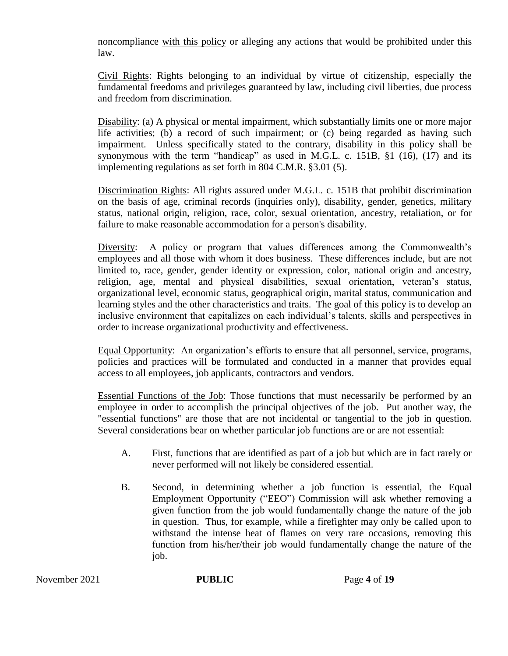noncompliance with this policy or alleging any actions that would be prohibited under this law.

Civil Rights: Rights belonging to an individual by virtue of citizenship, especially the fundamental freedoms and privileges guaranteed by law, including civil liberties, due process and freedom from discrimination.

Disability: (a) A physical or mental impairment, which substantially limits one or more major life activities; (b) a record of such impairment; or (c) being regarded as having such impairment. Unless specifically stated to the contrary, disability in this policy shall be synonymous with the term "handicap" as used in M.G.L. c. 151B, §1 (16), (17) and its implementing regulations as set forth in 804 C.M.R. §3.01 (5).

Discrimination Rights: All rights assured under M.G.L. c. 151B that prohibit discrimination on the basis of age, criminal records (inquiries only), disability, gender, genetics, military status, national origin, religion, race, color, sexual orientation, ancestry, retaliation, or for failure to make reasonable accommodation for a person's disability.

Diversity: A policy or program that values differences among the Commonwealth's employees and all those with whom it does business. These differences include, but are not limited to, race, gender, gender identity or expression, color, national origin and ancestry, religion, age, mental and physical disabilities, sexual orientation, veteran's status, organizational level, economic status, geographical origin, marital status, communication and learning styles and the other characteristics and traits. The goal of this policy is to develop an inclusive environment that capitalizes on each individual's talents, skills and perspectives in order to increase organizational productivity and effectiveness.

Equal Opportunity:An organization's efforts to ensure that all personnel, service, programs, policies and practices will be formulated and conducted in a manner that provides equal access to all employees, job applicants, contractors and vendors.

Essential Functions of the Job: Those functions that must necessarily be performed by an employee in order to accomplish the principal objectives of the job. Put another way, the "essential functions" are those that are not incidental or tangential to the job in question. Several considerations bear on whether particular job functions are or are not essential:

- A. First, functions that are identified as part of a job but which are in fact rarely or never performed will not likely be considered essential.
- B. Second, in determining whether a job function is essential, the Equal Employment Opportunity ("EEO") Commission will ask whether removing a given function from the job would fundamentally change the nature of the job in question. Thus, for example, while a firefighter may only be called upon to withstand the intense heat of flames on very rare occasions, removing this function from his/her/their job would fundamentally change the nature of the job.

November 2021 **PUBLIC** Page 4 of 19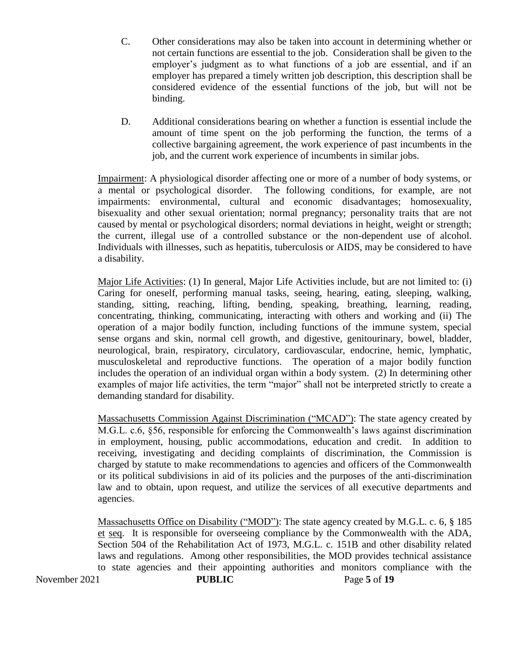- C. Other considerations may also be taken into account in determining whether or not certain functions are essential to the job. Consideration shall be given to the employer's judgment as to what functions of a job are essential, and if an employer has prepared a timely written job description, this description shall be considered evidence of the essential functions of the job, but will not be binding.
- D. Additional considerations bearing on whether a function is essential include the amount of time spent on the job performing the function, the terms of a collective bargaining agreement, the work experience of past incumbents in the job, and the current work experience of incumbents in similar jobs.

Impairment: A physiological disorder affecting one or more of a number of body systems, or a mental or psychological disorder. The following conditions, for example, are not impairments: environmental, cultural and economic disadvantages; homosexuality, bisexuality and other sexual orientation; normal pregnancy; personality traits that are not caused by mental or psychological disorders; normal deviations in height, weight or strength; the current, illegal use of a controlled substance or the non-dependent use of alcohol. Individuals with illnesses, such as hepatitis, tuberculosis or AIDS, may be considered to have a disability.

Major Life Activities: (1) In general, Major Life Activities include, but are not limited to: (i) Caring for oneself, performing manual tasks, seeing, hearing, eating, sleeping, walking, standing, sitting, reaching, lifting, bending, speaking, breathing, learning, reading, concentrating, thinking, communicating, interacting with others and working and (ii) The operation of a major bodily function, including functions of the immune system, special sense organs and skin, normal cell growth, and digestive, genitourinary, bowel, bladder, neurological, brain, respiratory, circulatory, cardiovascular, endocrine, hemic, lymphatic, musculoskeletal and reproductive functions. The operation of a major bodily function includes the operation of an individual organ within a body system. (2) In determining other examples of major life activities, the term "major" shall not be interpreted strictly to create a demanding standard for disability.

Massachusetts Commission Against Discrimination ("MCAD"): The state agency created by M.G.L. c.6, §56, responsible for enforcing the Commonwealth's laws against discrimination in employment, housing, public accommodations, education and credit. In addition to receiving, investigating and deciding complaints of discrimination, the Commission is charged by statute to make recommendations to agencies and officers of the Commonwealth or its political subdivisions in aid of its policies and the purposes of the anti-discrimination law and to obtain, upon request, and utilize the services of all executive departments and agencies.

November 2021 **PUBLIC** Page 5 of 19 Massachusetts Office on Disability ("MOD"): The state agency created by M.G.L. c. 6, § 185 et seq. It is responsible for overseeing compliance by the Commonwealth with the ADA, Section 504 of the Rehabilitation Act of 1973, M.G.L. c. 151B and other disability related laws and regulations. Among other responsibilities, the MOD provides technical assistance to state agencies and their appointing authorities and monitors compliance with the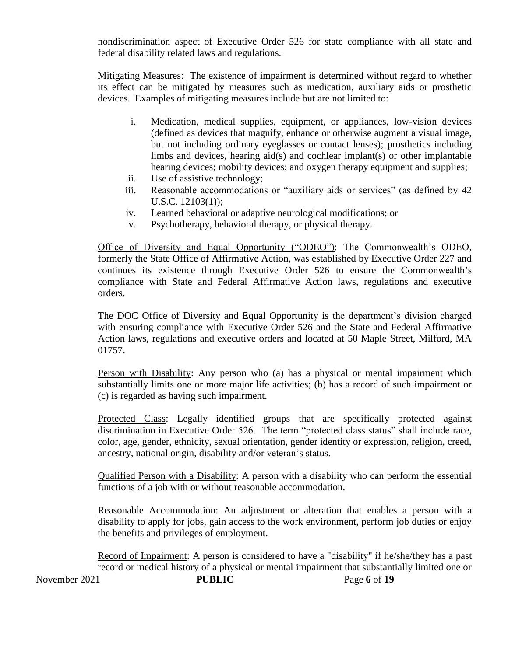nondiscrimination aspect of Executive Order 526 for state compliance with all state and federal disability related laws and regulations.

Mitigating Measures: The existence of impairment is determined without regard to whether its effect can be mitigated by measures such as medication, auxiliary aids or prosthetic devices. Examples of mitigating measures include but are not limited to:

- i. Medication, medical supplies, equipment, or appliances, low-vision devices (defined as devices that magnify, enhance or otherwise augment a visual image, but not including ordinary eyeglasses or contact lenses); prosthetics including limbs and devices, hearing  $aid(s)$  and cochlear implant(s) or other implantable hearing devices; mobility devices; and oxygen therapy equipment and supplies;
- ii. Use of assistive technology;
- iii. Reasonable accommodations or "auxiliary aids or services" (as defined by [42](http://frwebgate.access.gpo.gov/cgi-bin/getdoc.cgi?dbname=browse_usc&docid=Cite:+42USC12103)  [U.S.C. 12103\(](http://frwebgate.access.gpo.gov/cgi-bin/getdoc.cgi?dbname=browse_usc&docid=Cite:+42USC12103)1));
- iv. Learned behavioral or adaptive neurological modifications; or
- v. Psychotherapy, behavioral therapy, or physical therapy.

Office of Diversity and Equal Opportunity ("ODEO"): The Commonwealth's ODEO, formerly the State Office of Affirmative Action, was established by Executive Order 227 and continues its existence through Executive Order 526 to ensure the Commonwealth's compliance with State and Federal Affirmative Action laws, regulations and executive orders.

The DOC Office of Diversity and Equal Opportunity is the department's division charged with ensuring compliance with Executive Order 526 and the State and Federal Affirmative Action laws, regulations and executive orders and located at 50 Maple Street, Milford, MA 01757.

Person with Disability: Any person who (a) has a physical or mental impairment which substantially limits one or more major life activities; (b) has a record of such impairment or (c) is regarded as having such impairment.

Protected Class: Legally identified groups that are specifically protected against discrimination in Executive Order 526. The term "protected class status" shall include race, color, age, gender, ethnicity, sexual orientation, gender identity or expression, religion, creed, ancestry, national origin, disability and/or veteran's status.

Qualified Person with a Disability: A person with a disability who can perform the essential functions of a job with or without reasonable accommodation.

Reasonable Accommodation: An adjustment or alteration that enables a person with a disability to apply for jobs, gain access to the work environment, perform job duties or enjoy the benefits and privileges of employment.

November 2021 **PUBLIC** Page 6 of 19 Record of Impairment: A person is considered to have a "disability" if he/she/they has a past record or medical history of a physical or mental impairment that substantially limited one or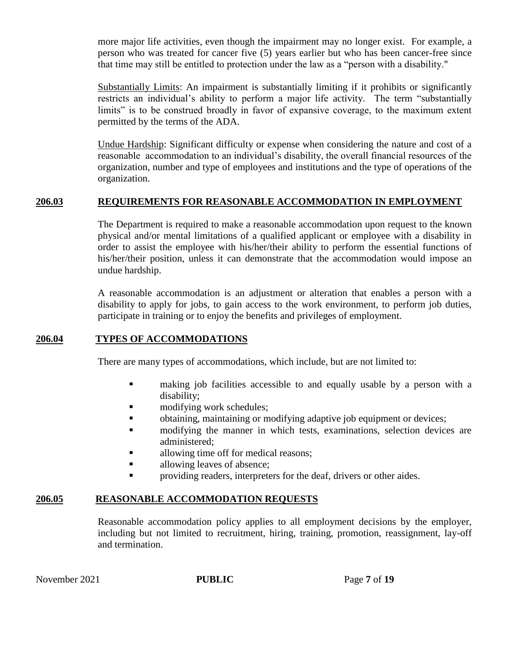more major life activities, even though the impairment may no longer exist. For example, a person who was treated for cancer five (5) years earlier but who has been cancer-free since that time may still be entitled to protection under the law as a "person with a disability."

Substantially Limits: An impairment is substantially limiting if it prohibits or significantly restricts an individual's ability to perform a major life activity. The term "substantially limits" is to be construed broadly in favor of expansive coverage, to the maximum extent permitted by the terms of the ADA.

Undue Hardship: Significant difficulty or expense when considering the nature and cost of a reasonable accommodation to an individual's disability, the overall financial resources of the organization, number and type of employees and institutions and the type of operations of the organization.

# **206.03 REQUIREMENTS FOR REASONABLE ACCOMMODATION IN EMPLOYMENT**

The Department is required to make a reasonable accommodation upon request to the known physical and/or mental limitations of a qualified applicant or employee with a disability in order to assist the employee with his/her/their ability to perform the essential functions of his/her/their position, unless it can demonstrate that the accommodation would impose an undue hardship.

A reasonable accommodation is an adjustment or alteration that enables a person with a disability to apply for jobs, to gain access to the work environment, to perform job duties, participate in training or to enjoy the benefits and privileges of employment.

# **206.04 TYPES OF ACCOMMODATIONS**

There are many types of accommodations, which include, but are not limited to:

- making job facilities accessible to and equally usable by a person with a disability;
- modifying work schedules;
- obtaining, maintaining or modifying adaptive job equipment or devices;
- **n** modifying the manner in which tests, examinations, selection devices are administered;
- allowing time off for medical reasons;
- **allowing leaves of absence;**
- **Permission** providing readers, interpreters for the deaf, drivers or other aides.

# **206.05 REASONABLE ACCOMMODATION REQUESTS**

Reasonable accommodation policy applies to all employment decisions by the employer, including but not limited to recruitment, hiring, training, promotion, reassignment, lay-off and termination.

November 2021 **PUBLIC** Page 7 of 19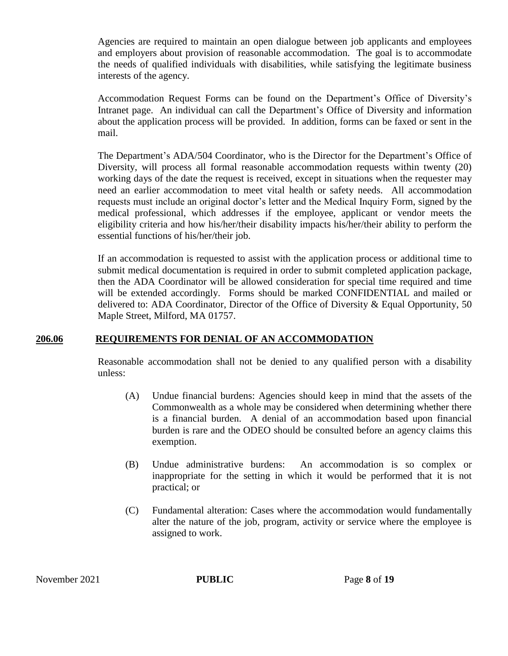Agencies are required to maintain an open dialogue between job applicants and employees and employers about provision of reasonable accommodation. The goal is to accommodate the needs of qualified individuals with disabilities, while satisfying the legitimate business interests of the agency.

Accommodation Request Forms can be found on the Department's Office of Diversity's Intranet page. An individual can call the Department's Office of Diversity and information about the application process will be provided. In addition, forms can be faxed or sent in the mail.

The Department's ADA/504 Coordinator, who is the Director for the Department's Office of Diversity, will process all formal reasonable accommodation requests within twenty (20) working days of the date the request is received, except in situations when the requester may need an earlier accommodation to meet vital health or safety needs. All accommodation requests must include an original doctor's letter and the Medical Inquiry Form, signed by the medical professional, which addresses if the employee, applicant or vendor meets the eligibility criteria and how his/her/their disability impacts his/her/their ability to perform the essential functions of his/her/their job.

If an accommodation is requested to assist with the application process or additional time to submit medical documentation is required in order to submit completed application package, then the ADA Coordinator will be allowed consideration for special time required and time will be extended accordingly. Forms should be marked CONFIDENTIAL and mailed or delivered to: ADA Coordinator, Director of the Office of Diversity & Equal Opportunity, 50 Maple Street, Milford, MA 01757.

# **206.06 REQUIREMENTS FOR DENIAL OF AN ACCOMMODATION**

Reasonable accommodation shall not be denied to any qualified person with a disability unless:

- (A) Undue financial burdens: Agencies should keep in mind that the assets of the Commonwealth as a whole may be considered when determining whether there is a financial burden. A denial of an accommodation based upon financial burden is rare and the ODEO should be consulted before an agency claims this exemption.
- (B) Undue administrative burdens: An accommodation is so complex or inappropriate for the setting in which it would be performed that it is not practical; or
- (C) Fundamental alteration: Cases where the accommodation would fundamentally alter the nature of the job, program, activity or service where the employee is assigned to work.

November 2021 **PUBLIC** Page 8 of 19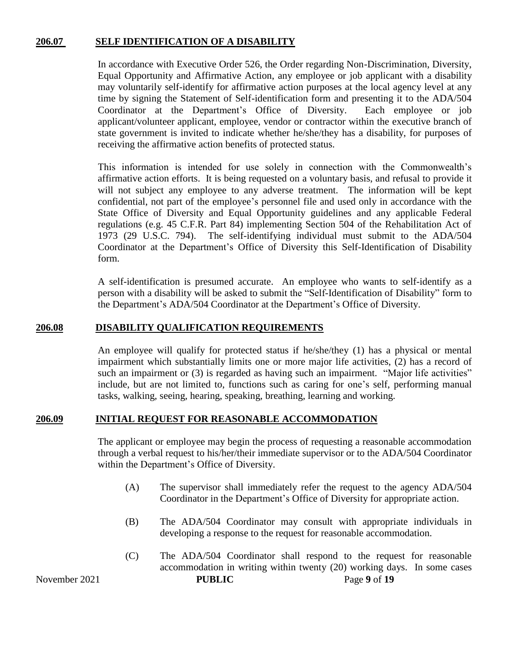# **206.07 SELF IDENTIFICATION OF A DISABILITY**

In accordance with Executive Order 526, the Order regarding Non-Discrimination, Diversity, Equal Opportunity and Affirmative Action, any employee or job applicant with a disability may voluntarily self-identify for affirmative action purposes at the local agency level at any time by signing the Statement of Self-identification form and presenting it to the ADA/504 Coordinator at the Department's Office of Diversity. Each employee or job applicant/volunteer applicant, employee, vendor or contractor within the executive branch of state government is invited to indicate whether he/she/they has a disability, for purposes of receiving the affirmative action benefits of protected status.

This information is intended for use solely in connection with the Commonwealth's affirmative action efforts. It is being requested on a voluntary basis, and refusal to provide it will not subject any employee to any adverse treatment. The information will be kept confidential, not part of the employee's personnel file and used only in accordance with the State Office of Diversity and Equal Opportunity guidelines and any applicable Federal regulations (e.g. 45 C.F.R. Part 84) implementing Section 504 of the Rehabilitation Act of 1973 (29 U.S.C. 794). The self-identifying individual must submit to the ADA/504 Coordinator at the Department's Office of Diversity this Self-Identification of Disability form.

A self-identification is presumed accurate. An employee who wants to self-identify as a person with a disability will be asked to submit the "Self-Identification of Disability" form to the Department's ADA/504 Coordinator at the Department's Office of Diversity.

# **206.08 DISABILITY QUALIFICATION REQUIREMENTS**

An employee will qualify for protected status if he/she/they (1) has a physical or mental impairment which substantially limits one or more major life activities, (2) has a record of such an impairment or (3) is regarded as having such an impairment. "Major life activities" include, but are not limited to, functions such as caring for one's self, performing manual tasks, walking, seeing, hearing, speaking, breathing, learning and working.

# **206.09 INITIAL REQUEST FOR REASONABLE ACCOMMODATION**

The applicant or employee may begin the process of requesting a reasonable accommodation through a verbal request to his/her/their immediate supervisor or to the ADA/504 Coordinator within the Department's Office of Diversity.

- (A) The supervisor shall immediately refer the request to the agency ADA/504 Coordinator in the Department's Office of Diversity for appropriate action.
- (B) The ADA/504 Coordinator may consult with appropriate individuals in developing a response to the request for reasonable accommodation.
- November 2021 **PUBLIC** Page 9 of 19 (C) The ADA/504 Coordinator shall respond to the request for reasonable accommodation in writing within twenty (20) working days. In some cases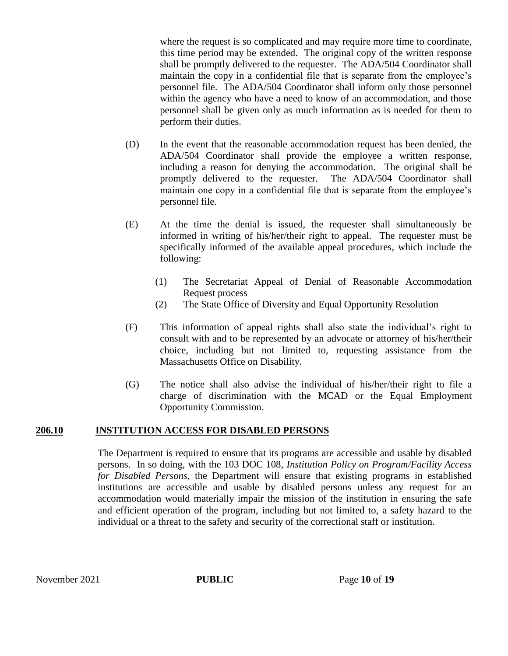where the request is so complicated and may require more time to coordinate, this time period may be extended. The original copy of the written response shall be promptly delivered to the requester. The ADA/504 Coordinator shall maintain the copy in a confidential file that is separate from the employee's personnel file. The ADA/504 Coordinator shall inform only those personnel within the agency who have a need to know of an accommodation, and those personnel shall be given only as much information as is needed for them to perform their duties.

- (D) In the event that the reasonable accommodation request has been denied, the ADA/504 Coordinator shall provide the employee a written response, including a reason for denying the accommodation. The original shall be promptly delivered to the requester. The ADA/504 Coordinator shall maintain one copy in a confidential file that is separate from the employee's personnel file.
- (E) At the time the denial is issued, the requester shall simultaneously be informed in writing of his/her/their right to appeal. The requester must be specifically informed of the available appeal procedures, which include the following:
	- (1) The Secretariat Appeal of Denial of Reasonable Accommodation Request process
	- (2) The State Office of Diversity and Equal Opportunity Resolution
- (F) This information of appeal rights shall also state the individual's right to consult with and to be represented by an advocate or attorney of his/her/their choice, including but not limited to, requesting assistance from the Massachusetts Office on Disability.
- (G) The notice shall also advise the individual of his/her/their right to file a charge of discrimination with the MCAD or the Equal Employment Opportunity Commission.

# **206.10 INSTITUTION ACCESS FOR DISABLED PERSONS**

The Department is required to ensure that its programs are accessible and usable by disabled persons. In so doing, with the 103 DOC 108, *Institution Policy on Program/Facility Access for Disabled Persons*, the Department will ensure that existing programs in established institutions are accessible and usable by disabled persons unless any request for an accommodation would materially impair the mission of the institution in ensuring the safe and efficient operation of the program, including but not limited to, a safety hazard to the individual or a threat to the safety and security of the correctional staff or institution.

November 2021 **PUBLIC** Page 10 of 19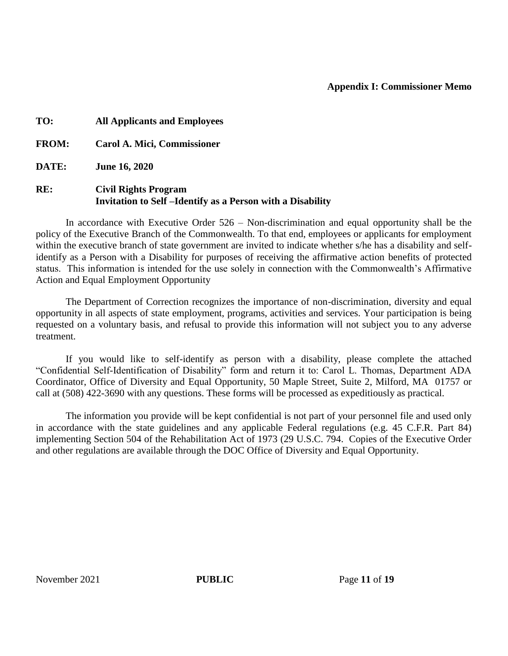# **Appendix I: Commissioner Memo**

**TO: All Applicants and Employees FROM: Carol A. Mici, Commissioner DATE: June 16, 2020 RE: Civil Rights Program Invitation to Self –Identify as a Person with a Disability**

In accordance with Executive Order 526 – Non-discrimination and equal opportunity shall be the policy of the Executive Branch of the Commonwealth. To that end, employees or applicants for employment within the executive branch of state government are invited to indicate whether s/he has a disability and selfidentify as a Person with a Disability for purposes of receiving the affirmative action benefits of protected status. This information is intended for the use solely in connection with the Commonwealth's Affirmative Action and Equal Employment Opportunity

The Department of Correction recognizes the importance of non-discrimination, diversity and equal opportunity in all aspects of state employment, programs, activities and services. Your participation is being requested on a voluntary basis, and refusal to provide this information will not subject you to any adverse treatment.

If you would like to self-identify as person with a disability, please complete the attached "Confidential Self-Identification of Disability" form and return it to: Carol L. Thomas, Department ADA Coordinator, Office of Diversity and Equal Opportunity, 50 Maple Street, Suite 2, Milford, MA 01757 or call at (508) 422-3690 with any questions. These forms will be processed as expeditiously as practical.

The information you provide will be kept confidential is not part of your personnel file and used only in accordance with the state guidelines and any applicable Federal regulations (e.g. 45 C.F.R. Part 84) implementing Section 504 of the Rehabilitation Act of 1973 (29 U.S.C. 794. Copies of the Executive Order and other regulations are available through the DOC Office of Diversity and Equal Opportunity.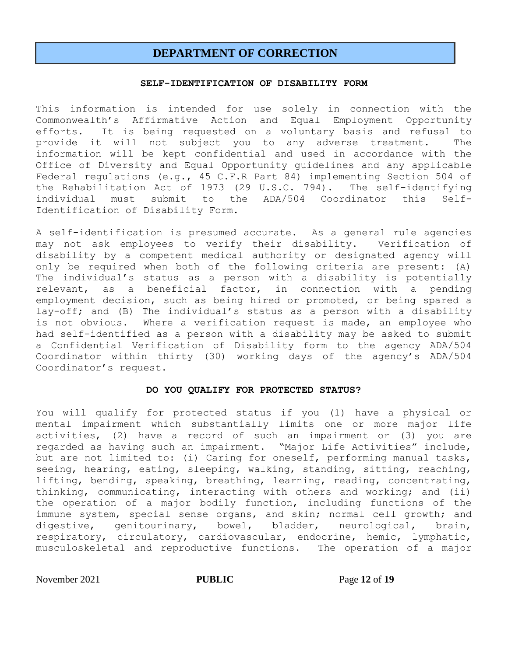# **DEPARTMENT OF CORRECTION**

### **SELF-IDENTIFICATION OF DISABILITY FORM**

This information is intended for use solely in connection with the Commonwealth's Affirmative Action and Equal Employment Opportunity efforts. It is being requested on a voluntary basis and refusal to provide it will not subject you to any adverse treatment. The information will be kept confidential and used in accordance with the Office of Diversity and Equal Opportunity guidelines and any applicable Federal regulations (e.g., 45 C.F.R Part 84) implementing Section 504 of the Rehabilitation Act of 1973 (29 U.S.C. 794). The self-identifying individual must submit to the ADA/504 Coordinator this Self-Identification of Disability Form.

A self-identification is presumed accurate. As a general rule agencies may not ask employees to verify their disability. Verification of disability by a competent medical authority or designated agency will only be required when both of the following criteria are present: (A) The individual's status as a person with a disability is potentially relevant, as a beneficial factor, in connection with a pending employment decision, such as being hired or promoted, or being spared a lay-off; and (B) The individual's status as a person with a disability is not obvious. Where a verification request is made, an employee who had self-identified as a person with a disability may be asked to submit a Confidential Verification of Disability form to the agency ADA/504 Coordinator within thirty (30) working days of the agency's ADA/504 Coordinator's request.

### **DO YOU QUALIFY FOR PROTECTED STATUS?**

You will qualify for protected status if you (1) have a physical or mental impairment which substantially limits one or more major life activities, (2) have a record of such an impairment or (3) you are regarded as having such an impairment. "Major Life Activities" include, but are not limited to: (i) Caring for oneself, performing manual tasks, seeing, hearing, eating, sleeping, walking, standing, sitting, reaching, lifting, bending, speaking, breathing, learning, reading, concentrating, thinking, communicating, interacting with others and working; and (ii) the operation of a major bodily function, including functions of the immune system, special sense organs, and skin; normal cell growth; and digestive, genitourinary, bowel, bladder, neurological, brain, respiratory, circulatory, cardiovascular, endocrine, hemic, lymphatic, musculoskeletal and reproductive functions. The operation of a major

November 2021 **PUBLIC** Page 12 of 19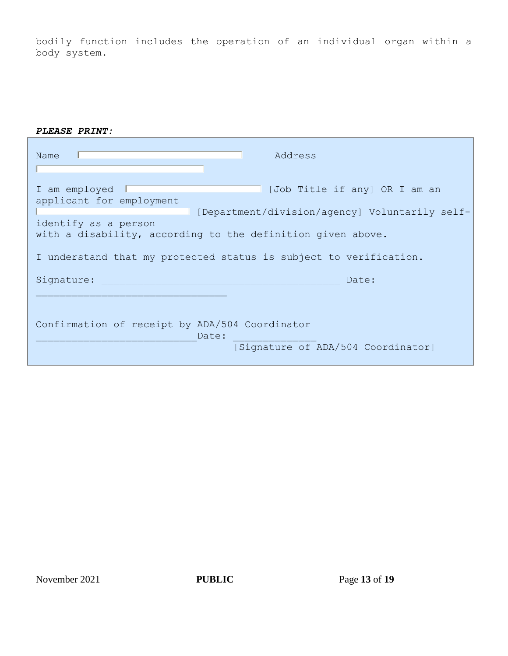bodily function includes the operation of an individual organ within a body system.

| Address<br>Name                                                                                                                                                                                                                                                                          |  |
|------------------------------------------------------------------------------------------------------------------------------------------------------------------------------------------------------------------------------------------------------------------------------------------|--|
| [Job Title if any] OR I am an<br>I am employed<br>applicant for employment<br>[Department/division/agency] Voluntarily self-<br>identify as a person<br>with a disability, according to the definition given above.<br>I understand that my protected status is subject to verification. |  |
| Signature:<br>Date:                                                                                                                                                                                                                                                                      |  |
| Confirmation of receipt by ADA/504 Coordinator<br>Date:<br>[Signature of ADA/504 Coordinator]                                                                                                                                                                                            |  |

November 2021 **PUBLIC** Page 13 of 19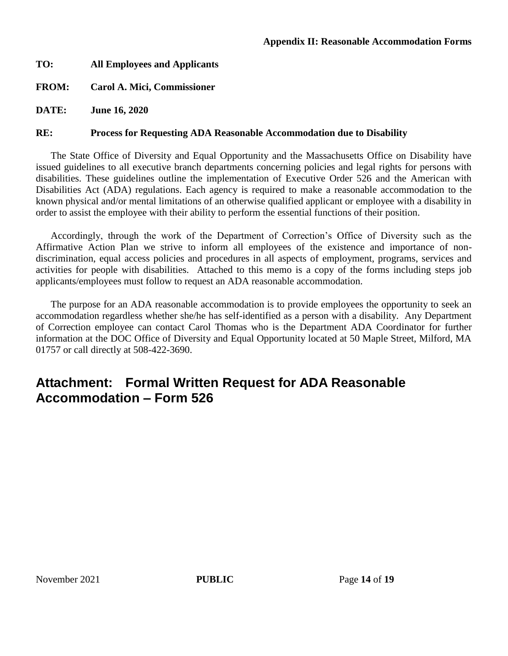# **TO: All Employees and Applicants**

# **FROM: Carol A. Mici, Commissioner**

**DATE: June 16, 2020**

# **RE: Process for Requesting ADA Reasonable Accommodation due to Disability**

The State Office of Diversity and Equal Opportunity and the Massachusetts Office on Disability have issued guidelines to all executive branch departments concerning policies and legal rights for persons with disabilities. These guidelines outline the implementation of Executive Order 526 and the American with Disabilities Act (ADA) regulations. Each agency is required to make a reasonable accommodation to the known physical and/or mental limitations of an otherwise qualified applicant or employee with a disability in order to assist the employee with their ability to perform the essential functions of their position.

Accordingly, through the work of the Department of Correction's Office of Diversity such as the Affirmative Action Plan we strive to inform all employees of the existence and importance of nondiscrimination, equal access policies and procedures in all aspects of employment, programs, services and activities for people with disabilities. Attached to this memo is a copy of the forms including steps job applicants/employees must follow to request an ADA reasonable accommodation.

The purpose for an ADA reasonable accommodation is to provide employees the opportunity to seek an accommodation regardless whether she/he has self-identified as a person with a disability. Any Department of Correction employee can contact Carol Thomas who is the Department ADA Coordinator for further information at the DOC Office of Diversity and Equal Opportunity located at 50 Maple Street, Milford, MA 01757 or call directly at 508-422-3690.

# **Attachment: Formal Written Request for ADA Reasonable Accommodation – Form 526**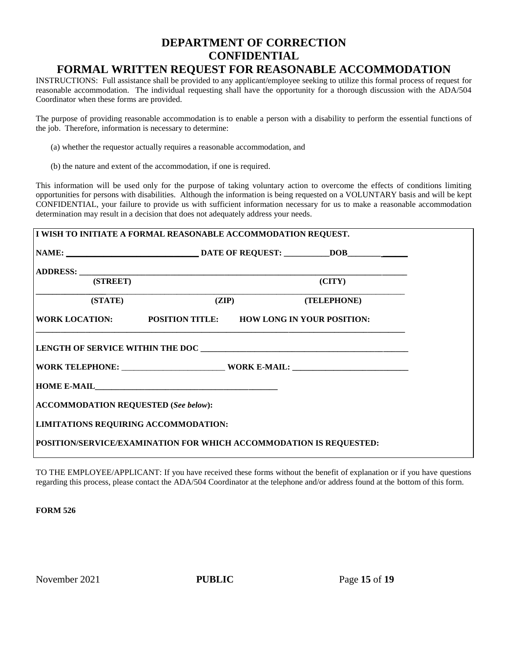# **DEPARTMENT OF CORRECTION CONFIDENTIAL FORMAL WRITTEN REQUEST FOR REASONABLE ACCOMMODATION**

INSTRUCTIONS: Full assistance shall be provided to any applicant/employee seeking to utilize this formal process of request for reasonable accommodation. The individual requesting shall have the opportunity for a thorough discussion with the ADA/504 Coordinator when these forms are provided.

The purpose of providing reasonable accommodation is to enable a person with a disability to perform the essential functions of the job. Therefore, information is necessary to determine:

- (a) whether the requestor actually requires a reasonable accommodation, and
- (b) the nature and extent of the accommodation, if one is required.

This information will be used only for the purpose of taking voluntary action to overcome the effects of conditions limiting opportunities for persons with disabilities. Although the information is being requested on a VOLUNTARY basis and will be kept CONFIDENTIAL, your failure to provide us with sufficient information necessary for us to make a reasonable accommodation determination may result in a decision that does not adequately address your needs.

| I WISH TO INITIATE A FORMAL REASONABLE ACCOMMODATION REQUEST.      |  |                   |  |
|--------------------------------------------------------------------|--|-------------------|--|
|                                                                    |  |                   |  |
|                                                                    |  |                   |  |
| (STREET)                                                           |  | $\rm (CITY)$      |  |
| (STATE)                                                            |  | (ZIP) (TELEPHONE) |  |
| WORK LOCATION: POSITION TITLE: HOW LONG IN YOUR POSITION:          |  |                   |  |
|                                                                    |  |                   |  |
|                                                                    |  |                   |  |
| <b>ACCOMMODATION REQUESTED (See below):</b>                        |  |                   |  |
| <b>LIMITATIONS REQUIRING ACCOMMODATION:</b>                        |  |                   |  |
| POSITION/SERVICE/EXAMINATION FOR WHICH ACCOMMODATION IS REQUESTED: |  |                   |  |

TO THE EMPLOYEE/APPLICANT: If you have received these forms without the benefit of explanation or if you have questions regarding this process, please contact the ADA/504 Coordinator at the telephone and/or address found at the bottom of this form.

**FORM 526**

November 2021 **PUBLIC** Page 15 of 19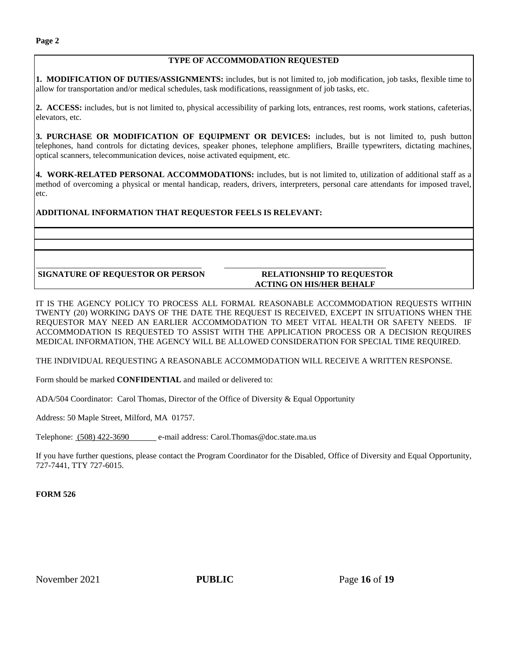**1. MODIFICATION OF DUTIES/ASSIGNMENTS:** includes, but is not limited to, job modification, job tasks, flexible time to allow for transportation and/or medical schedules, task modifications, reassignment of job tasks, etc.

**2. ACCESS:** includes, but is not limited to, physical accessibility of parking lots, entrances, rest rooms, work stations, cafeterias, elevators, etc.

**3. PURCHASE OR MODIFICATION OF EQUIPMENT OR DEVICES:** includes, but is not limited to, push button telephones, hand controls for dictating devices, speaker phones, telephone amplifiers, Braille typewriters, dictating machines, optical scanners, telecommunication devices, noise activated equipment, etc.

**4. WORK-RELATED PERSONAL ACCOMMODATIONS:** includes, but is not limited to, utilization of additional staff as a method of overcoming a physical or mental handicap, readers, drivers, interpreters, personal care attendants for imposed travel, etc.

### **ADDITIONAL INFORMATION THAT REQUESTOR FEELS IS RELEVANT:**

#### \_\_\_\_\_\_\_\_\_\_\_\_\_\_\_\_\_\_\_\_\_\_\_\_\_\_\_\_\_\_\_\_\_\_\_\_\_\_\_\_ \_\_\_\_\_\_\_\_\_\_\_\_\_\_\_\_\_\_\_\_\_\_\_\_\_\_\_\_\_\_\_\_\_\_\_\_\_\_\_ **SIGNATURE OF REQUESTOR OR PERSON RELATIONSHIP TO REQUESTOR**

# **ACTING ON HIS/HER BEHALF**

IT IS THE AGENCY POLICY TO PROCESS ALL FORMAL REASONABLE ACCOMMODATION REQUESTS WITHIN TWENTY (20) WORKING DAYS OF THE DATE THE REQUEST IS RECEIVED, EXCEPT IN SITUATIONS WHEN THE REQUESTOR MAY NEED AN EARLIER ACCOMMODATION TO MEET VITAL HEALTH OR SAFETY NEEDS. IF ACCOMMODATION IS REQUESTED TO ASSIST WITH THE APPLICATION PROCESS OR A DECISION REQUIRES MEDICAL INFORMATION, THE AGENCY WILL BE ALLOWED CONSIDERATION FOR SPECIAL TIME REQUIRED.

THE INDIVIDUAL REQUESTING A REASONABLE ACCOMMODATION WILL RECEIVE A WRITTEN RESPONSE.

Form should be marked **CONFIDENTIAL** and mailed or delivered to:

ADA/504 Coordinator: Carol Thomas, Director of the Office of Diversity & Equal Opportunity

Address: 50 Maple Street, Milford, MA 01757.

Telephone: (508) 422-3690 e-mail address: Carol.Thomas@doc.state.ma.us

If you have further questions, please contact the Program Coordinator for the Disabled, Office of Diversity and Equal Opportunity, 727-7441, TTY 727-6015.

### **FORM 526**

November 2021 **PUBLIC** Page 16 of 19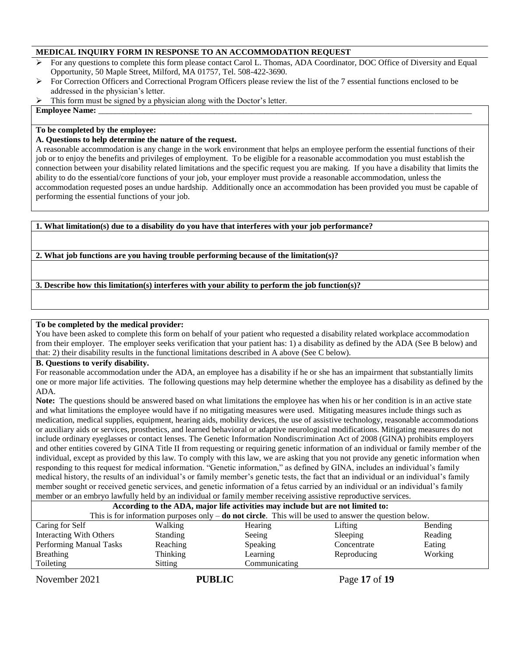### **MEDICAL INQUIRY FORM IN RESPONSE TO AN ACCOMMODATION REQUEST**

- $\triangleright$  For any questions to complete this form please contact Carol L. Thomas, ADA Coordinator, DOC Office of Diversity and Equal Opportunity, 50 Maple Street, Milford, MA 01757, Tel. 508-422-3690.
- For Correction Officers and Correctional Program Officers please review the list of the 7 essential functions enclosed to be addressed in the physician's letter.
- This form must be signed by a physician along with the Doctor's letter.

#### **Employee Name:**

#### **To be completed by the employee:**

#### **A. Questions to help determine the nature of the request.**

A reasonable accommodation is any change in the work environment that helps an employee perform the essential functions of their job or to enjoy the benefits and privileges of employment. To be eligible for a reasonable accommodation you must establish the connection between your disability related limitations and the specific request you are making. If you have a disability that limits the ability to do the essential/core functions of your job, your employer must provide a reasonable accommodation, unless the accommodation requested poses an undue hardship. Additionally once an accommodation has been provided you must be capable of performing the essential functions of your job.

**1. What limitation(s) due to a disability do you have that interferes with your job performance?**

**2. What job functions are you having trouble performing because of the limitation(s)?**

**3. Describe how this limitation(s) interferes with your ability to perform the job function(s)?**

### **To be completed by the medical provider:**

You have been asked to complete this form on behalf of your patient who requested a disability related workplace accommodation from their employer. The employer seeks verification that your patient has: 1) a disability as defined by the ADA (See B below) and that: 2) their disability results in the functional limitations described in A above (See C below).

#### **B. Questions to verify disability.**

For reasonable accommodation under the ADA, an employee has a disability if he or she has an impairment that substantially limits one or more major life activities. The following questions may help determine whether the employee has a disability as defined by the ADA.

**Note:** The questions should be answered based on what limitations the employee has when his or her condition is in an active state and what limitations the employee would have if no mitigating measures were used. Mitigating measures include things such as medication, medical supplies, equipment, hearing aids, mobility devices, the use of assistive technology, reasonable accommodations or auxiliary aids or services, prosthetics, and learned behavioral or adaptive neurological modifications. Mitigating measures do not include ordinary eyeglasses or contact lenses. The Genetic Information Nondiscrimination Act of 2008 (GINA) prohibits employers and other entities covered by GINA Title II from requesting or requiring genetic information of an individual or family member of the individual, except as provided by this law. To comply with this law, we are asking that you not provide any genetic information when responding to this request for medical information. "Genetic information," as defined by GINA, includes an individual's family medical history, the results of an individual's or family member's genetic tests, the fact that an individual or an individual's family member sought or received genetic services, and genetic information of a fetus carried by an individual or an individual's family member or an embryo lawfully held by an individual or family member receiving assistive reproductive services.

| According to the ADA, major life activities may include but are not limited to:                          |               |                                                  |             |  |  |
|----------------------------------------------------------------------------------------------------------|---------------|--------------------------------------------------|-------------|--|--|
| This is for information purposes only $-$ do not circle. This will be used to answer the question below. |               |                                                  |             |  |  |
| Walking                                                                                                  |               | Lifting                                          | Bending     |  |  |
| <b>Standing</b>                                                                                          |               | Sleeping                                         | Reading     |  |  |
| Reaching                                                                                                 |               | Concentrate                                      | Eating      |  |  |
| Thinking                                                                                                 |               |                                                  | Working     |  |  |
| Sitting                                                                                                  | Communicating |                                                  |             |  |  |
|                                                                                                          |               | Hearing<br>Seeing<br><b>Speaking</b><br>Learning | Reproducing |  |  |

November 2021 **PUBLIC** Page 17 of 19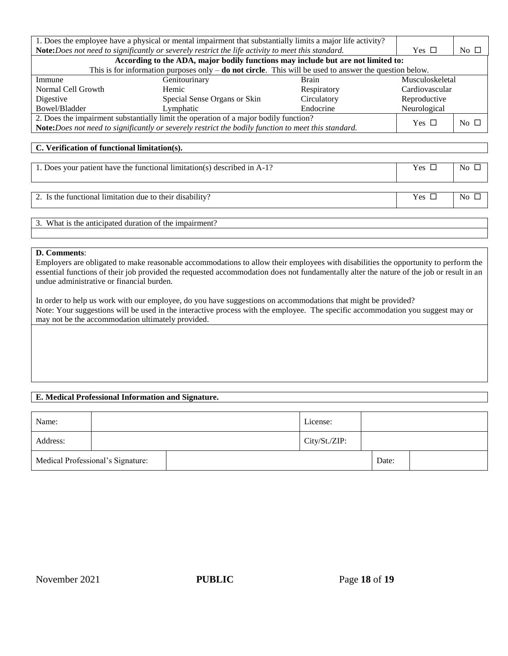| 1. Does the employee have a physical or mental impairment that substantially limits a major life activity? |                                                                                                          |             |                |                 |  |
|------------------------------------------------------------------------------------------------------------|----------------------------------------------------------------------------------------------------------|-------------|----------------|-----------------|--|
| Note:Does not need to significantly or severely restrict the life activity to meet this standard.          |                                                                                                          |             | Yes $\Box$     | No $\Box$       |  |
|                                                                                                            | According to the ADA, major bodily functions may include but are not limited to:                         |             |                |                 |  |
|                                                                                                            | This is for information purposes only $-$ do not circle. This will be used to answer the question below. |             |                |                 |  |
| Immune<br>Genitourinary<br><b>Brain</b>                                                                    |                                                                                                          |             |                | Musculoskeletal |  |
| Normal Cell Growth                                                                                         | Hemic                                                                                                    | Respiratory | Cardiovascular |                 |  |
| Digestive                                                                                                  | Special Sense Organs or Skin                                                                             | Circulatory | Reproductive   |                 |  |
| Bowel/Bladder                                                                                              | Lymphatic                                                                                                | Endocrine   | Neurological   |                 |  |
| 2. Does the impairment substantially limit the operation of a major bodily function?                       |                                                                                                          |             |                | $No \square$    |  |
| Note:Does not need to significantly or severely restrict the bodily function to meet this standard.        |                                                                                                          |             |                |                 |  |
|                                                                                                            |                                                                                                          |             |                |                 |  |
| C. Verification of functional limitation(s).                                                               |                                                                                                          |             |                |                 |  |
|                                                                                                            |                                                                                                          |             |                |                 |  |
| 1. Does your patient have the functional limitation(s) described in A-1?                                   |                                                                                                          |             |                | No $\Box$       |  |
|                                                                                                            |                                                                                                          |             |                |                 |  |
|                                                                                                            |                                                                                                          |             |                |                 |  |

2. Is the functional limitation due to their disability? Yes No

3. What is the anticipated duration of the impairment?

### **D. Comments**:

Employers are obligated to make reasonable accommodations to allow their employees with disabilities the opportunity to perform the essential functions of their job provided the requested accommodation does not fundamentally alter the nature of the job or result in an undue administrative or financial burden.

In order to help us work with our employee, do you have suggestions on accommodations that might be provided? Note: Your suggestions will be used in the interactive process with the employee. The specific accommodation you suggest may or may not be the accommodation ultimately provided.

### **E. Medical Professional Information and Signature.**

| Name:    |                                   | License:      |       |  |
|----------|-----------------------------------|---------------|-------|--|
| Address: |                                   | City/St./ZIP: |       |  |
|          | Medical Professional's Signature: |               | Date: |  |